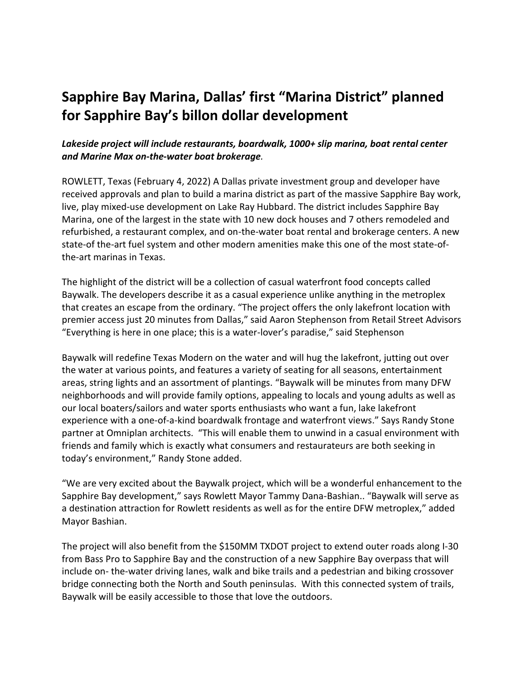## **Sapphire Bay Marina, Dallas' first "Marina District" planned for Sapphire Bay's billon dollar development**

## *Lakeside project will include restaurants, boardwalk, 1000+ slip marina, boat rental center and Marine Max on-the-water boat brokerage.*

ROWLETT, Texas (February 4, 2022) A Dallas private investment group and developer have received approvals and plan to build a marina district as part of the massive Sapphire Bay work, live, play mixed-use development on Lake Ray Hubbard. The district includes Sapphire Bay Marina, one of the largest in the state with 10 new dock houses and 7 others remodeled and refurbished, a restaurant complex, and on-the-water boat rental and brokerage centers. A new state-of the-art fuel system and other modern amenities make this one of the most state-ofthe-art marinas in Texas.

The highlight of the district will be a collection of casual waterfront food concepts called Baywalk. The developers describe it as a casual experience unlike anything in the metroplex that creates an escape from the ordinary. "The project offers the only lakefront location with premier access just 20 minutes from Dallas," said Aaron Stephenson from Retail Street Advisors "Everything is here in one place; this is a water-lover's paradise," said Stephenson

Baywalk will redefine Texas Modern on the water and will hug the lakefront, jutting out over the water at various points, and features a variety of seating for all seasons, entertainment areas, string lights and an assortment of plantings. "Baywalk will be minutes from many DFW neighborhoods and will provide family options, appealing to locals and young adults as well as our local boaters/sailors and water sports enthusiasts who want a fun, lake lakefront experience with a one-of-a-kind boardwalk frontage and waterfront views." Says Randy Stone partner at Omniplan architects. "This will enable them to unwind in a casual environment with friends and family which is exactly what consumers and restaurateurs are both seeking in today's environment," Randy Stone added.

"We are very excited about the Baywalk project, which will be a wonderful enhancement to the Sapphire Bay development," says Rowlett Mayor Tammy Dana-Bashian.. "Baywalk will serve as a destination attraction for Rowlett residents as well as for the entire DFW metroplex," added Mayor Bashian.

The project will also benefit from the \$150MM TXDOT project to extend outer roads along I-30 from Bass Pro to Sapphire Bay and the construction of a new Sapphire Bay overpass that will include on- the-water driving lanes, walk and bike trails and a pedestrian and biking crossover bridge connecting both the North and South peninsulas. With this connected system of trails, Baywalk will be easily accessible to those that love the outdoors.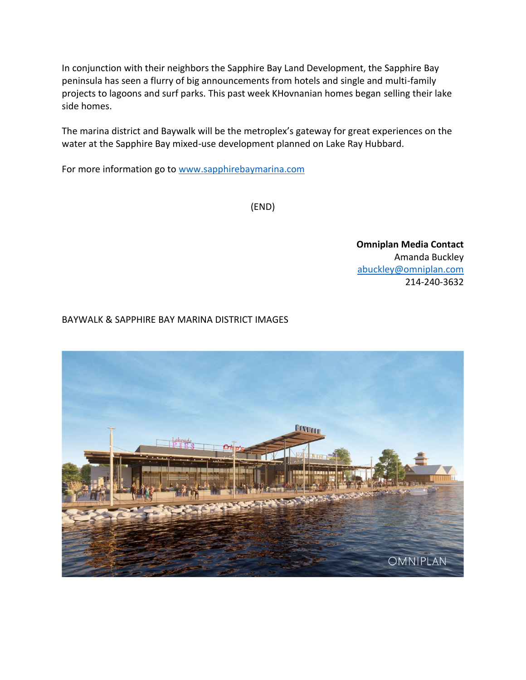In conjunction with their neighbors the Sapphire Bay Land Development, the Sapphire Bay peninsula has seen a flurry of big announcements from hotels and single and multi-family projects to lagoons and surf parks. This past week KHovnanian homes began selling their lake side homes.

The marina district and Baywalk will be the metroplex's gateway for great experiences on the water at the Sapphire Bay mixed-use development planned on Lake Ray Hubbard.

For more information go to [www.sapphirebaymarina.com](http://www.sapphirebaymarina.com/)

(END)

**Omniplan Media Contact** Amanda Buckley [abuckley@omniplan.com](mailto:wata@sbm.com) 214-240-3632

BAYWALK & SAPPHIRE BAY MARINA DISTRICT IMAGES